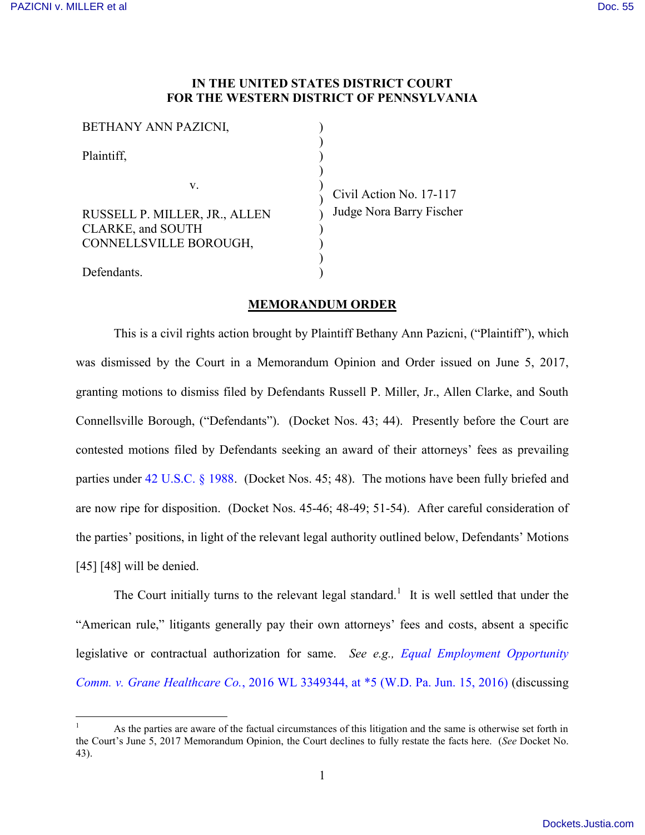## **IN THE UNITED STATES DISTRICT COURT FOR THE WESTERN DISTRICT OF PENNSYLVANIA**

| BETHANY ANN PAZICNI,          |              |
|-------------------------------|--------------|
| Plaintiff,                    |              |
| V.                            |              |
| RUSSELL P. MILLER, JR., ALLEN | Civi<br>Judg |
| <b>CLARKE, and SOUTH</b>      |              |
| CONNELLSVILLE BOROUGH,        |              |
| Defendants.                   |              |

1 Action No. 17-117 ge Nora Barry Fischer

## **MEMORANDUM ORDER**

This is a civil rights action brought by Plaintiff Bethany Ann Pazicni, ("Plaintiff"), which was dismissed by the Court in a Memorandum Opinion and Order issued on June 5, 2017, granting motions to dismiss filed by Defendants Russell P. Miller, Jr., Allen Clarke, and South Connellsville Borough, ("Defendants"). (Docket Nos. 43; 44). Presently before the Court are contested motions filed by Defendants seeking an award of their attorneys' fees as prevailing parties under [42 U.S.C. § 1988.](http://www.westlaw.com/Find/default.wl?rs=kmfn4.8&vr=2.0&kmvr=2.6&FindType=L&DB=1000546&DocName=42USCAS1988&kmsource=da3.0) (Docket Nos. 45; 48). The motions have been fully briefed and are now ripe for disposition. (Docket Nos. 45-46; 48-49; 51-54). After careful consideration of the parties' positions, in light of the relevant legal authority outlined below, Defendants' Motions [45] [48] will be denied.

The Court initially turns to the relevant legal standard.<sup>1</sup> It is well settled that under the "American rule," litigants generally pay their own attorneys' fees and costs, absent a specific legislative or contractual authorization for same. *See e.g., [Equal Employment Opportunity](http://www.westlaw.com/Find/default.wl?rs=kmfn4.8&vr=2.0&kmvr=2.6&FindType=Y&DB=0000999&serialnum=2039183345&kmsource=da3.0)  Comm. v. Grane Healthcare Co.*[, 2016 WL 3349344, at \\*5 \(W.D. Pa. Jun. 15, 2016\)](http://www.westlaw.com/Find/default.wl?rs=kmfn4.8&vr=2.0&kmvr=2.6&FindType=Y&DB=0000999&serialnum=2039183345&kmsource=da3.0) (discussing

 $\overline{a}$ <sup>1</sup> As the parties are aware of the factual circumstances of this litigation and the same is otherwise set forth in the Court's June 5, 2017 Memorandum Opinion, the Court declines to fully restate the facts here. (*See* Docket No. 43).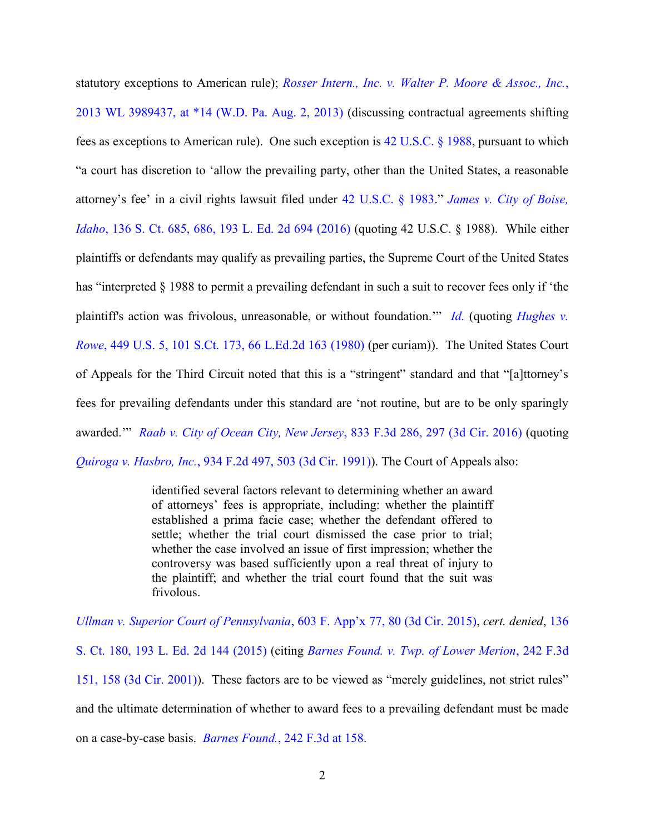statutory exceptions to American rule); *[Rosser Intern., Inc. v. Walter P. Moore & Assoc., Inc.](http://www.westlaw.com/Find/default.wl?rs=kmfn4.8&vr=2.0&kmvr=2.6&FindType=Y&DB=0000999&serialnum=2031233899&kmsource=da3.0)*, [2013 WL 3989437, at \\*14 \(W.D. Pa. Aug. 2, 2013\)](http://www.westlaw.com/Find/default.wl?rs=kmfn4.8&vr=2.0&kmvr=2.6&FindType=Y&DB=0000999&serialnum=2031233899&kmsource=da3.0) (discussing contractual agreements shifting fees as exceptions to American rule). One such exception is [42 U.S.C. § 1988,](http://www.westlaw.com/Find/default.wl?rs=kmfn4.8&vr=2.0&kmvr=2.6&FindType=L&DB=1000546&DocName=42USCAS1988&kmsource=da3.0) pursuant to which "a court has discretion to 'allow the prevailing party, other than the United States, a reasonable attorney's fee' in a civil rights lawsuit filed under [42 U.S.C. § 1983](http://www.westlaw.com/Find/default.wl?rs=kmfn4.8&vr=2.0&kmvr=2.6&FindType=L&DB=1000546&DocName=42USCAS1983&kmsource=da3.0)." *[James v. City of Boise,](http://www.westlaw.com/Find/default.wl?rs=kmfn4.8&vr=2.0&kmvr=2.6&FindType=Y&DB=0000708&serialnum=2038150545&kmsource=da3.0)  Idaho*[, 136 S. Ct. 685, 686, 193 L. Ed. 2d 694 \(2016\)](http://www.westlaw.com/Find/default.wl?rs=kmfn4.8&vr=2.0&kmvr=2.6&FindType=Y&DB=0000708&serialnum=2038150545&kmsource=da3.0) (quoting 42 U.S.C. § 1988). While either plaintiffs or defendants may qualify as prevailing parties, the Supreme Court of the United States has "interpreted § 1988 to permit a prevailing defendant in such a suit to recover fees only if 'the plaintiff's action was frivolous, unreasonable, or without foundation." *[Id.](http://www.westlaw.com/Find/default.wl?rs=kmfn4.8&vr=2.0&kmvr=2.6&FindType=Y&DB=0000708&serialnum=2038150545&kmsource=da3.0)* (quoting *Hughes v. Rowe*[, 449 U.S. 5, 101 S.Ct. 173, 66 L.Ed.2d 163 \(1980\)](http://www.westlaw.com/Find/default.wl?rs=kmfn4.8&vr=2.0&kmvr=2.6&FindType=Y&DB=0000780&serialnum=1980145644&kmsource=da3.0) (per curiam)). The United States Court of Appeals for the Third Circuit noted that this is a "stringent" standard and that "[a]ttorney's fees for prevailing defendants under this standard are 'not routine, but are to be only sparingly awarded.'" *[Raab v. City of Ocean City, New Jersey](http://www.westlaw.com/Find/default.wl?rs=kmfn4.8&vr=2.0&kmvr=2.6&FindType=Y&DB=0000506&serialnum=2039584788&kmsource=da3.0)*, 833 F.3d 286, 297 (3d Cir. 2016) (quoting *Quiroga v. Hasbro, Inc.*[, 934 F.2d 497, 503 \(3d Cir. 1991\)\)](http://www.westlaw.com/Find/default.wl?rs=kmfn4.8&vr=2.0&kmvr=2.6&FindType=Y&DB=0000350&serialnum=1991105659&kmsource=da3.0). The Court of Appeals also:

> identified several factors relevant to determining whether an award of attorneys' fees is appropriate, including: whether the plaintiff established a prima facie case; whether the defendant offered to settle; whether the trial court dismissed the case prior to trial; whether the case involved an issue of first impression; whether the controversy was based sufficiently upon a real threat of injury to the plaintiff; and whether the trial court found that the suit was frivolous.

*[Ullman v. Superior Court of Pennsylvania](http://www.westlaw.com/Find/default.wl?rs=kmfn4.8&vr=2.0&kmvr=2.6&FindType=Y&DB=0006538&serialnum=2035539179&kmsource=da3.0)*, 603 F. App'x 77, 80 (3d Cir. 2015), *cert. denied*, [136](http://www.westlaw.com/Find/default.wl?rs=kmfn4.8&vr=2.0&kmvr=2.6&FindType=Y&DB=0000708&serialnum=2036639236&kmsource=da3.0)  [S. Ct. 180, 193 L. Ed. 2d](http://www.westlaw.com/Find/default.wl?rs=kmfn4.8&vr=2.0&kmvr=2.6&FindType=Y&DB=0000708&serialnum=2036639236&kmsource=da3.0) 144 (2015) (citing *[Barnes Found. v. Twp. of Lower Merion](http://www.westlaw.com/Find/default.wl?rs=kmfn4.8&vr=2.0&kmvr=2.6&FindType=Y&DB=0000506&serialnum=2001192260&kmsource=da3.0)*, 242 F.3d [151, 158 \(3d Cir. 2001\)\)](http://www.westlaw.com/Find/default.wl?rs=kmfn4.8&vr=2.0&kmvr=2.6&FindType=Y&DB=0000506&serialnum=2001192260&kmsource=da3.0). These factors are to be viewed as "merely guidelines, not strict rules" and the ultimate determination of whether to award fees to a prevailing defendant must be made on a case-by-case basis. *Barnes Found.*[, 242 F.3d at 158.](http://www.westlaw.com/Find/default.wl?rs=kmfn4.8&vr=2.0&kmvr=2.6&FindType=Y&DB=0000506&serialnum=2001192260&kmsource=da3.0)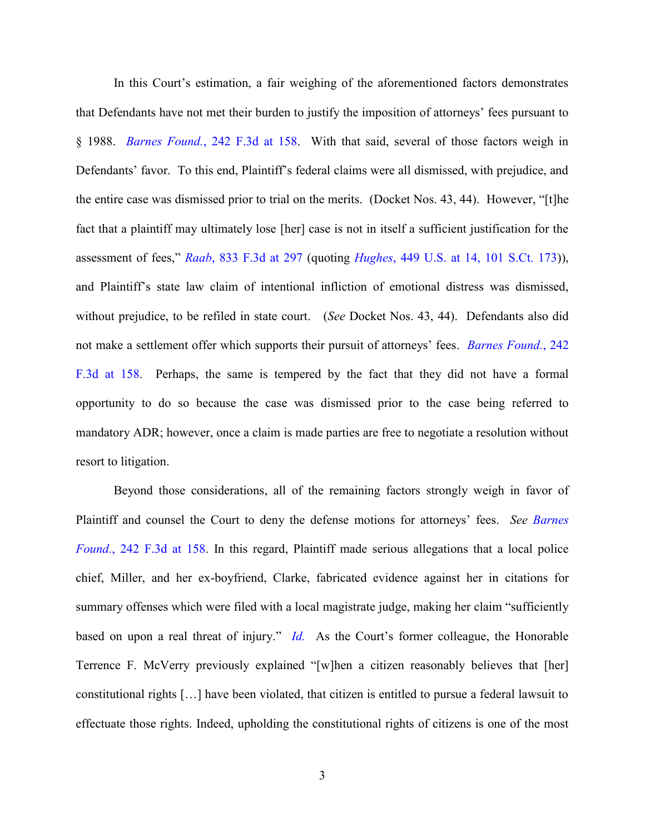In this Court's estimation, a fair weighing of the aforementioned factors demonstrates that Defendants have not met their burden to justify the imposition of attorneys' fees pursuant to § 1988. *Barnes Found.*[, 242 F.3d at 158.](http://www.westlaw.com/Find/default.wl?rs=kmfn4.8&vr=2.0&kmvr=2.6&FindType=Y&DB=0000506&serialnum=2001192260&kmsource=da3.0) With that said, several of those factors weigh in Defendants' favor. To this end, Plaintiff's federal claims were all dismissed, with prejudice, and the entire case was dismissed prior to trial on the merits. (Docket Nos. 43, 44). However, "[t]he fact that a plaintiff may ultimately lose [her] case is not in itself a sufficient justification for the assessment of fees," *Raab*[, 833 F.3d at 297](http://www.westlaw.com/Find/default.wl?rs=kmfn4.8&vr=2.0&kmvr=2.6&FindType=Y&DB=0000506&serialnum=2039584788&kmsource=da3.0) (quoting *Hughes*[, 449 U.S. at 14, 101 S.Ct. 173\)](http://www.westlaw.com/Find/default.wl?rs=kmfn4.8&vr=2.0&kmvr=2.6&FindType=Y&DB=0000780&serialnum=1980145644&kmsource=da3.0)), and Plaintiff's state law claim of intentional infliction of emotional distress was dismissed, without prejudice, to be refiled in state court. (*See* Docket Nos. 43, 44). Defendants also did not make a settlement offer which supports their pursuit of attorneys' fees. *[Barnes Found.](http://www.westlaw.com/Find/default.wl?rs=kmfn4.8&vr=2.0&kmvr=2.6&FindType=Y&DB=0000506&serialnum=2001192260&kmsource=da3.0)*, 242 [F.3d at 158.](http://www.westlaw.com/Find/default.wl?rs=kmfn4.8&vr=2.0&kmvr=2.6&FindType=Y&DB=0000506&serialnum=2001192260&kmsource=da3.0) Perhaps, the same is tempered by the fact that they did not have a formal opportunity to do so because the case was dismissed prior to the case being referred to mandatory ADR; however, once a claim is made parties are free to negotiate a resolution without resort to litigation.

Beyond those considerations, all of the remaining factors strongly weigh in favor of Plaintiff and counsel the Court to deny the defense motions for attorneys' fees. *See [Barnes](http://www.westlaw.com/Find/default.wl?rs=kmfn4.8&vr=2.0&kmvr=2.6&FindType=Y&DB=0000506&serialnum=2001192260&kmsource=da3.0)  Found.*[, 242 F.3d at 158.](http://www.westlaw.com/Find/default.wl?rs=kmfn4.8&vr=2.0&kmvr=2.6&FindType=Y&DB=0000506&serialnum=2001192260&kmsource=da3.0) In this regard, Plaintiff made serious allegations that a local police chief, Miller, and her ex-boyfriend, Clarke, fabricated evidence against her in citations for summary offenses which were filed with a local magistrate judge, making her claim "sufficiently based on upon a real threat of injury." *[Id.](http://www.westlaw.com/Find/default.wl?rs=kmfn4.8&vr=2.0&kmvr=2.6&FindType=Y&DB=0000506&serialnum=2001192260&kmsource=da3.0)* As the Court's former colleague, the Honorable Terrence F. McVerry previously explained "[w]hen a citizen reasonably believes that [her] constitutional rights […] have been violated, that citizen is entitled to pursue a federal lawsuit to effectuate those rights. Indeed, upholding the constitutional rights of citizens is one of the most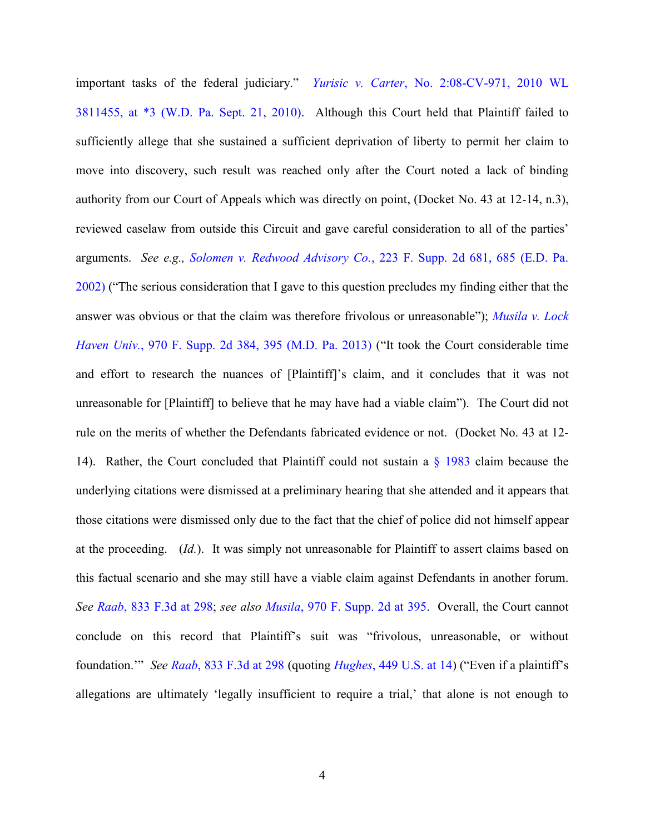important tasks of the federal judiciary." *Yurisic v. Carter*[, No. 2:08-CV-971, 2010 WL](http://www.westlaw.com/Find/default.wl?rs=kmfn4.8&vr=2.0&kmvr=2.6&FindType=Y&DB=0000999&serialnum=2023208700&kmsource=da3.0)  [3811455, at \\*3 \(W.D. Pa. Sept. 21, 2010\).](http://www.westlaw.com/Find/default.wl?rs=kmfn4.8&vr=2.0&kmvr=2.6&FindType=Y&DB=0000999&serialnum=2023208700&kmsource=da3.0) Although this Court held that Plaintiff failed to sufficiently allege that she sustained a sufficient deprivation of liberty to permit her claim to move into discovery, such result was reached only after the Court noted a lack of binding authority from our Court of Appeals which was directly on point, (Docket No. 43 at 12-14, n.3), reviewed caselaw from outside this Circuit and gave careful consideration to all of the parties' arguments. *See e.g., Solomen v. Redwood Advisory Co.*[, 223 F. Supp. 2d 681, 685 \(E.D. Pa.](http://www.westlaw.com/Find/default.wl?rs=kmfn4.8&vr=2.0&kmvr=2.6&FindType=Y&DB=0004637&serialnum=2002615638&kmsource=da3.0)  [2002\)](http://www.westlaw.com/Find/default.wl?rs=kmfn4.8&vr=2.0&kmvr=2.6&FindType=Y&DB=0004637&serialnum=2002615638&kmsource=da3.0) ("The serious consideration that I gave to this question precludes my finding either that the answer was obvious or that the claim was therefore frivolous or unreasonable"); *[Musila v. Lock](http://www.westlaw.com/Find/default.wl?rs=kmfn4.8&vr=2.0&kmvr=2.6&FindType=Y&DB=0004637&serialnum=2031515705&kmsource=da3.0)  Haven Univ.*[, 970 F. Supp. 2d 384, 395 \(M.D. Pa. 2013\)](http://www.westlaw.com/Find/default.wl?rs=kmfn4.8&vr=2.0&kmvr=2.6&FindType=Y&DB=0004637&serialnum=2031515705&kmsource=da3.0) ("It took the Court considerable time and effort to research the nuances of [Plaintiff]'s claim, and it concludes that it was not unreasonable for [Plaintiff] to believe that he may have had a viable claim"). The Court did not rule on the merits of whether the Defendants fabricated evidence or not. (Docket No. 43 at 12- 14). Rather, the Court concluded that Plaintiff could not sustain a [§ 1983](http://www.westlaw.com/Find/default.wl?rs=kmfn4.8&vr=2.0&kmvr=2.6&FindType=L&DB=1000546&DocName=42USCAS1983&kmsource=da3.0) claim because the underlying citations were dismissed at a preliminary hearing that she attended and it appears that those citations were dismissed only due to the fact that the chief of police did not himself appear at the proceeding. (*Id.*). It was simply not unreasonable for Plaintiff to assert claims based on this factual scenario and she may still have a viable claim against Defendants in another forum. *See Raab*[, 833 F.3d at 298;](http://www.westlaw.com/Find/default.wl?rs=kmfn4.8&vr=2.0&kmvr=2.6&FindType=Y&DB=0000506&serialnum=2039584788&kmsource=da3.0) *see also Musila*[, 970 F. Supp. 2d at 395.](http://www.westlaw.com/Find/default.wl?rs=kmfn4.8&vr=2.0&kmvr=2.6&FindType=Y&DB=0004637&serialnum=2031515705&kmsource=da3.0) Overall, the Court cannot conclude on this record that Plaintiff's suit was "frivolous, unreasonable, or without foundation.'" *See Raab*[, 833 F.3d at 298](http://www.westlaw.com/Find/default.wl?rs=kmfn4.8&vr=2.0&kmvr=2.6&FindType=Y&DB=0000506&serialnum=2039584788&kmsource=da3.0) (quoting *Hughes*[, 449 U.S. at 14](http://www.westlaw.com/Find/default.wl?rs=kmfn4.8&vr=2.0&kmvr=2.6&FindType=Y&DB=0000780&serialnum=1980145644&kmsource=da3.0)) ("Even if a plaintiff's allegations are ultimately 'legally insufficient to require a trial,' that alone is not enough to